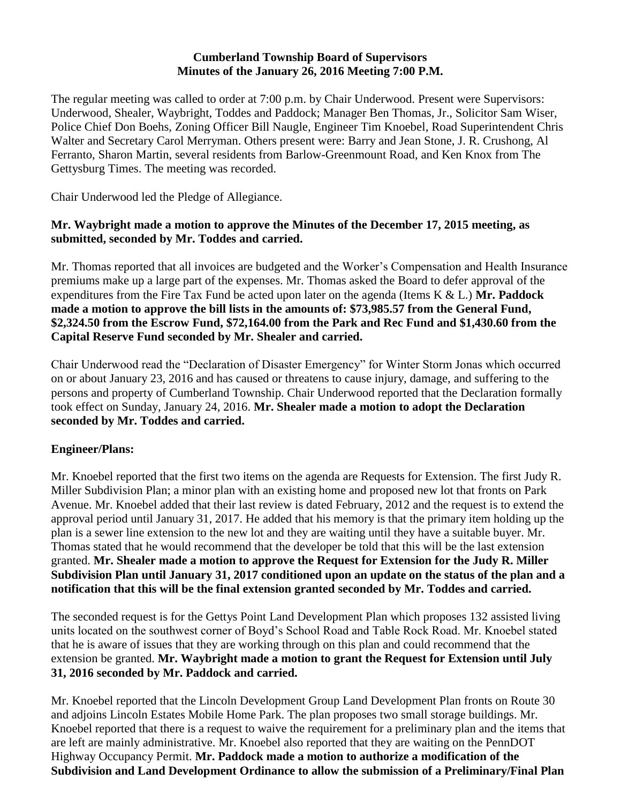### **Cumberland Township Board of Supervisors Minutes of the January 26, 2016 Meeting 7:00 P.M.**

The regular meeting was called to order at 7:00 p.m. by Chair Underwood. Present were Supervisors: Underwood, Shealer, Waybright, Toddes and Paddock; Manager Ben Thomas, Jr., Solicitor Sam Wiser, Police Chief Don Boehs, Zoning Officer Bill Naugle, Engineer Tim Knoebel, Road Superintendent Chris Walter and Secretary Carol Merryman. Others present were: Barry and Jean Stone, J. R. Crushong, Al Ferranto, Sharon Martin, several residents from Barlow-Greenmount Road, and Ken Knox from The Gettysburg Times. The meeting was recorded.

Chair Underwood led the Pledge of Allegiance.

## **Mr. Waybright made a motion to approve the Minutes of the December 17, 2015 meeting, as submitted, seconded by Mr. Toddes and carried.**

Mr. Thomas reported that all invoices are budgeted and the Worker's Compensation and Health Insurance premiums make up a large part of the expenses. Mr. Thomas asked the Board to defer approval of the expenditures from the Fire Tax Fund be acted upon later on the agenda (Items K & L.) **Mr. Paddock made a motion to approve the bill lists in the amounts of: \$73,985.57 from the General Fund, \$2,324.50 from the Escrow Fund, \$72,164.00 from the Park and Rec Fund and \$1,430.60 from the Capital Reserve Fund seconded by Mr. Shealer and carried.**

Chair Underwood read the "Declaration of Disaster Emergency" for Winter Storm Jonas which occurred on or about January 23, 2016 and has caused or threatens to cause injury, damage, and suffering to the persons and property of Cumberland Township. Chair Underwood reported that the Declaration formally took effect on Sunday, January 24, 2016. **Mr. Shealer made a motion to adopt the Declaration seconded by Mr. Toddes and carried.**

## **Engineer/Plans:**

Mr. Knoebel reported that the first two items on the agenda are Requests for Extension. The first Judy R. Miller Subdivision Plan; a minor plan with an existing home and proposed new lot that fronts on Park Avenue. Mr. Knoebel added that their last review is dated February, 2012 and the request is to extend the approval period until January 31, 2017. He added that his memory is that the primary item holding up the plan is a sewer line extension to the new lot and they are waiting until they have a suitable buyer. Mr. Thomas stated that he would recommend that the developer be told that this will be the last extension granted. **Mr. Shealer made a motion to approve the Request for Extension for the Judy R. Miller Subdivision Plan until January 31, 2017 conditioned upon an update on the status of the plan and a notification that this will be the final extension granted seconded by Mr. Toddes and carried.**

The seconded request is for the Gettys Point Land Development Plan which proposes 132 assisted living units located on the southwest corner of Boyd's School Road and Table Rock Road. Mr. Knoebel stated that he is aware of issues that they are working through on this plan and could recommend that the extension be granted. **Mr. Waybright made a motion to grant the Request for Extension until July 31, 2016 seconded by Mr. Paddock and carried.**

Mr. Knoebel reported that the Lincoln Development Group Land Development Plan fronts on Route 30 and adjoins Lincoln Estates Mobile Home Park. The plan proposes two small storage buildings. Mr. Knoebel reported that there is a request to waive the requirement for a preliminary plan and the items that are left are mainly administrative. Mr. Knoebel also reported that they are waiting on the PennDOT Highway Occupancy Permit. **Mr. Paddock made a motion to authorize a modification of the Subdivision and Land Development Ordinance to allow the submission of a Preliminary/Final Plan**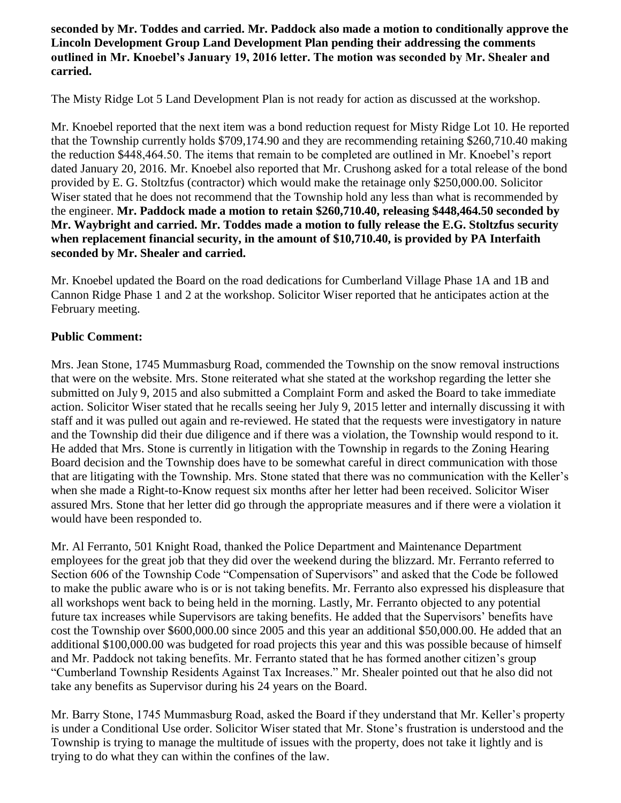**seconded by Mr. Toddes and carried. Mr. Paddock also made a motion to conditionally approve the Lincoln Development Group Land Development Plan pending their addressing the comments outlined in Mr. Knoebel's January 19, 2016 letter. The motion was seconded by Mr. Shealer and carried.**

The Misty Ridge Lot 5 Land Development Plan is not ready for action as discussed at the workshop.

Mr. Knoebel reported that the next item was a bond reduction request for Misty Ridge Lot 10. He reported that the Township currently holds \$709,174.90 and they are recommending retaining \$260,710.40 making the reduction \$448,464.50. The items that remain to be completed are outlined in Mr. Knoebel's report dated January 20, 2016. Mr. Knoebel also reported that Mr. Crushong asked for a total release of the bond provided by E. G. Stoltzfus (contractor) which would make the retainage only \$250,000.00. Solicitor Wiser stated that he does not recommend that the Township hold any less than what is recommended by the engineer. **Mr. Paddock made a motion to retain \$260,710.40, releasing \$448,464.50 seconded by Mr. Waybright and carried. Mr. Toddes made a motion to fully release the E.G. Stoltzfus security when replacement financial security, in the amount of \$10,710.40, is provided by PA Interfaith seconded by Mr. Shealer and carried.**

Mr. Knoebel updated the Board on the road dedications for Cumberland Village Phase 1A and 1B and Cannon Ridge Phase 1 and 2 at the workshop. Solicitor Wiser reported that he anticipates action at the February meeting.

## **Public Comment:**

Mrs. Jean Stone, 1745 Mummasburg Road, commended the Township on the snow removal instructions that were on the website. Mrs. Stone reiterated what she stated at the workshop regarding the letter she submitted on July 9, 2015 and also submitted a Complaint Form and asked the Board to take immediate action. Solicitor Wiser stated that he recalls seeing her July 9, 2015 letter and internally discussing it with staff and it was pulled out again and re-reviewed. He stated that the requests were investigatory in nature and the Township did their due diligence and if there was a violation, the Township would respond to it. He added that Mrs. Stone is currently in litigation with the Township in regards to the Zoning Hearing Board decision and the Township does have to be somewhat careful in direct communication with those that are litigating with the Township. Mrs. Stone stated that there was no communication with the Keller's when she made a Right-to-Know request six months after her letter had been received. Solicitor Wiser assured Mrs. Stone that her letter did go through the appropriate measures and if there were a violation it would have been responded to.

Mr. Al Ferranto, 501 Knight Road, thanked the Police Department and Maintenance Department employees for the great job that they did over the weekend during the blizzard. Mr. Ferranto referred to Section 606 of the Township Code "Compensation of Supervisors" and asked that the Code be followed to make the public aware who is or is not taking benefits. Mr. Ferranto also expressed his displeasure that all workshops went back to being held in the morning. Lastly, Mr. Ferranto objected to any potential future tax increases while Supervisors are taking benefits. He added that the Supervisors' benefits have cost the Township over \$600,000.00 since 2005 and this year an additional \$50,000.00. He added that an additional \$100,000.00 was budgeted for road projects this year and this was possible because of himself and Mr. Paddock not taking benefits. Mr. Ferranto stated that he has formed another citizen's group "Cumberland Township Residents Against Tax Increases." Mr. Shealer pointed out that he also did not take any benefits as Supervisor during his 24 years on the Board.

Mr. Barry Stone, 1745 Mummasburg Road, asked the Board if they understand that Mr. Keller's property is under a Conditional Use order. Solicitor Wiser stated that Mr. Stone's frustration is understood and the Township is trying to manage the multitude of issues with the property, does not take it lightly and is trying to do what they can within the confines of the law.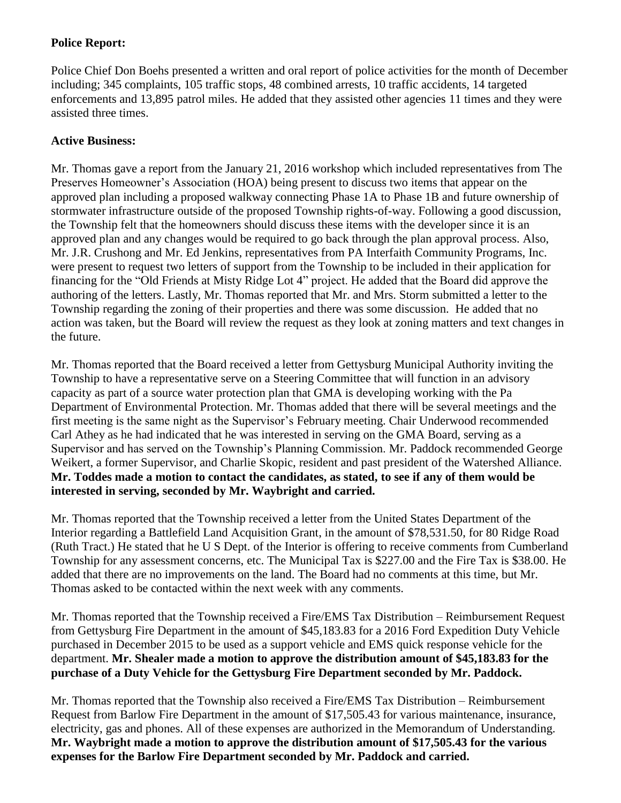# **Police Report:**

Police Chief Don Boehs presented a written and oral report of police activities for the month of December including; 345 complaints, 105 traffic stops, 48 combined arrests, 10 traffic accidents, 14 targeted enforcements and 13,895 patrol miles. He added that they assisted other agencies 11 times and they were assisted three times.

# **Active Business:**

Mr. Thomas gave a report from the January 21, 2016 workshop which included representatives from The Preserves Homeowner's Association (HOA) being present to discuss two items that appear on the approved plan including a proposed walkway connecting Phase 1A to Phase 1B and future ownership of stormwater infrastructure outside of the proposed Township rights-of-way. Following a good discussion, the Township felt that the homeowners should discuss these items with the developer since it is an approved plan and any changes would be required to go back through the plan approval process. Also, Mr. J.R. Crushong and Mr. Ed Jenkins, representatives from PA Interfaith Community Programs, Inc. were present to request two letters of support from the Township to be included in their application for financing for the "Old Friends at Misty Ridge Lot 4" project. He added that the Board did approve the authoring of the letters. Lastly, Mr. Thomas reported that Mr. and Mrs. Storm submitted a letter to the Township regarding the zoning of their properties and there was some discussion. He added that no action was taken, but the Board will review the request as they look at zoning matters and text changes in the future.

Mr. Thomas reported that the Board received a letter from Gettysburg Municipal Authority inviting the Township to have a representative serve on a Steering Committee that will function in an advisory capacity as part of a source water protection plan that GMA is developing working with the Pa Department of Environmental Protection. Mr. Thomas added that there will be several meetings and the first meeting is the same night as the Supervisor's February meeting. Chair Underwood recommended Carl Athey as he had indicated that he was interested in serving on the GMA Board, serving as a Supervisor and has served on the Township's Planning Commission. Mr. Paddock recommended George Weikert, a former Supervisor, and Charlie Skopic, resident and past president of the Watershed Alliance. **Mr. Toddes made a motion to contact the candidates, as stated, to see if any of them would be interested in serving, seconded by Mr. Waybright and carried.**

Mr. Thomas reported that the Township received a letter from the United States Department of the Interior regarding a Battlefield Land Acquisition Grant, in the amount of \$78,531.50, for 80 Ridge Road (Ruth Tract.) He stated that he U S Dept. of the Interior is offering to receive comments from Cumberland Township for any assessment concerns, etc. The Municipal Tax is \$227.00 and the Fire Tax is \$38.00. He added that there are no improvements on the land. The Board had no comments at this time, but Mr. Thomas asked to be contacted within the next week with any comments.

Mr. Thomas reported that the Township received a Fire/EMS Tax Distribution – Reimbursement Request from Gettysburg Fire Department in the amount of \$45,183.83 for a 2016 Ford Expedition Duty Vehicle purchased in December 2015 to be used as a support vehicle and EMS quick response vehicle for the department. **Mr. Shealer made a motion to approve the distribution amount of \$45,183.83 for the purchase of a Duty Vehicle for the Gettysburg Fire Department seconded by Mr. Paddock.**

Mr. Thomas reported that the Township also received a Fire/EMS Tax Distribution – Reimbursement Request from Barlow Fire Department in the amount of \$17,505.43 for various maintenance, insurance, electricity, gas and phones. All of these expenses are authorized in the Memorandum of Understanding. **Mr. Waybright made a motion to approve the distribution amount of \$17,505.43 for the various expenses for the Barlow Fire Department seconded by Mr. Paddock and carried.**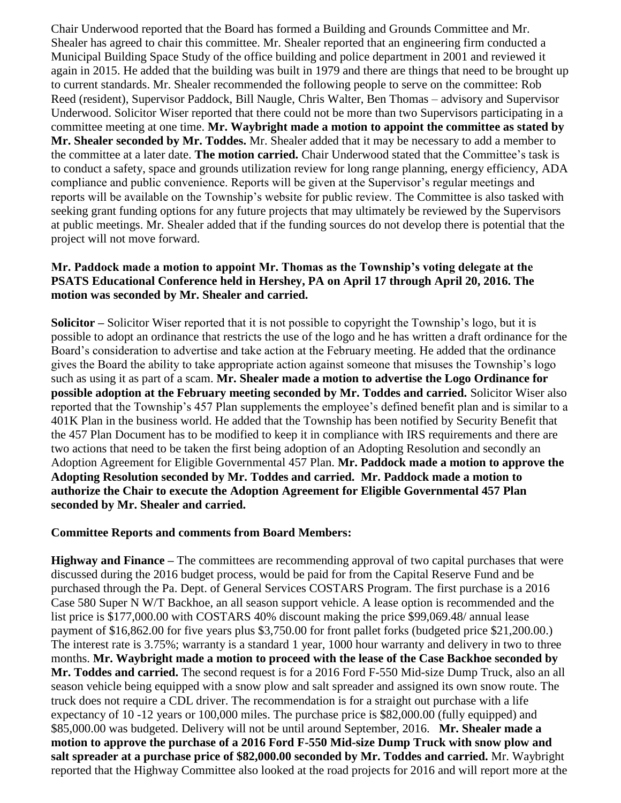Chair Underwood reported that the Board has formed a Building and Grounds Committee and Mr. Shealer has agreed to chair this committee. Mr. Shealer reported that an engineering firm conducted a Municipal Building Space Study of the office building and police department in 2001 and reviewed it again in 2015. He added that the building was built in 1979 and there are things that need to be brought up to current standards. Mr. Shealer recommended the following people to serve on the committee: Rob Reed (resident), Supervisor Paddock, Bill Naugle, Chris Walter, Ben Thomas – advisory and Supervisor Underwood. Solicitor Wiser reported that there could not be more than two Supervisors participating in a committee meeting at one time. **Mr. Waybright made a motion to appoint the committee as stated by Mr. Shealer seconded by Mr. Toddes.** Mr. Shealer added that it may be necessary to add a member to the committee at a later date. **The motion carried.** Chair Underwood stated that the Committee's task is to conduct a safety, space and grounds utilization review for long range planning, energy efficiency, ADA compliance and public convenience. Reports will be given at the Supervisor's regular meetings and reports will be available on the Township's website for public review. The Committee is also tasked with seeking grant funding options for any future projects that may ultimately be reviewed by the Supervisors at public meetings. Mr. Shealer added that if the funding sources do not develop there is potential that the project will not move forward.

### **Mr. Paddock made a motion to appoint Mr. Thomas as the Township's voting delegate at the PSATS Educational Conference held in Hershey, PA on April 17 through April 20, 2016. The motion was seconded by Mr. Shealer and carried.**

**Solicitor –** Solicitor Wiser reported that it is not possible to copyright the Township's logo, but it is possible to adopt an ordinance that restricts the use of the logo and he has written a draft ordinance for the Board's consideration to advertise and take action at the February meeting. He added that the ordinance gives the Board the ability to take appropriate action against someone that misuses the Township's logo such as using it as part of a scam. **Mr. Shealer made a motion to advertise the Logo Ordinance for possible adoption at the February meeting seconded by Mr. Toddes and carried.** Solicitor Wiser also reported that the Township's 457 Plan supplements the employee's defined benefit plan and is similar to a 401K Plan in the business world. He added that the Township has been notified by Security Benefit that the 457 Plan Document has to be modified to keep it in compliance with IRS requirements and there are two actions that need to be taken the first being adoption of an Adopting Resolution and secondly an Adoption Agreement for Eligible Governmental 457 Plan. **Mr. Paddock made a motion to approve the Adopting Resolution seconded by Mr. Toddes and carried. Mr. Paddock made a motion to authorize the Chair to execute the Adoption Agreement for Eligible Governmental 457 Plan seconded by Mr. Shealer and carried.**

## **Committee Reports and comments from Board Members:**

**Highway and Finance –** The committees are recommending approval of two capital purchases that were discussed during the 2016 budget process, would be paid for from the Capital Reserve Fund and be purchased through the Pa. Dept. of General Services COSTARS Program. The first purchase is a 2016 Case 580 Super N W/T Backhoe, an all season support vehicle. A lease option is recommended and the list price is \$177,000.00 with COSTARS 40% discount making the price \$99,069.48/ annual lease payment of \$16,862.00 for five years plus \$3,750.00 for front pallet forks (budgeted price \$21,200.00.) The interest rate is 3.75%; warranty is a standard 1 year, 1000 hour warranty and delivery in two to three months. **Mr. Waybright made a motion to proceed with the lease of the Case Backhoe seconded by Mr. Toddes and carried.** The second request is for a 2016 Ford F-550 Mid-size Dump Truck, also an all season vehicle being equipped with a snow plow and salt spreader and assigned its own snow route. The truck does not require a CDL driver. The recommendation is for a straight out purchase with a life expectancy of 10 -12 years or 100,000 miles. The purchase price is \$82,000.00 (fully equipped) and \$85,000.00 was budgeted. Delivery will not be until around September, 2016. **Mr. Shealer made a motion to approve the purchase of a 2016 Ford F-550 Mid-size Dump Truck with snow plow and salt spreader at a purchase price of \$82,000.00 seconded by Mr. Toddes and carried.** Mr. Waybright reported that the Highway Committee also looked at the road projects for 2016 and will report more at the